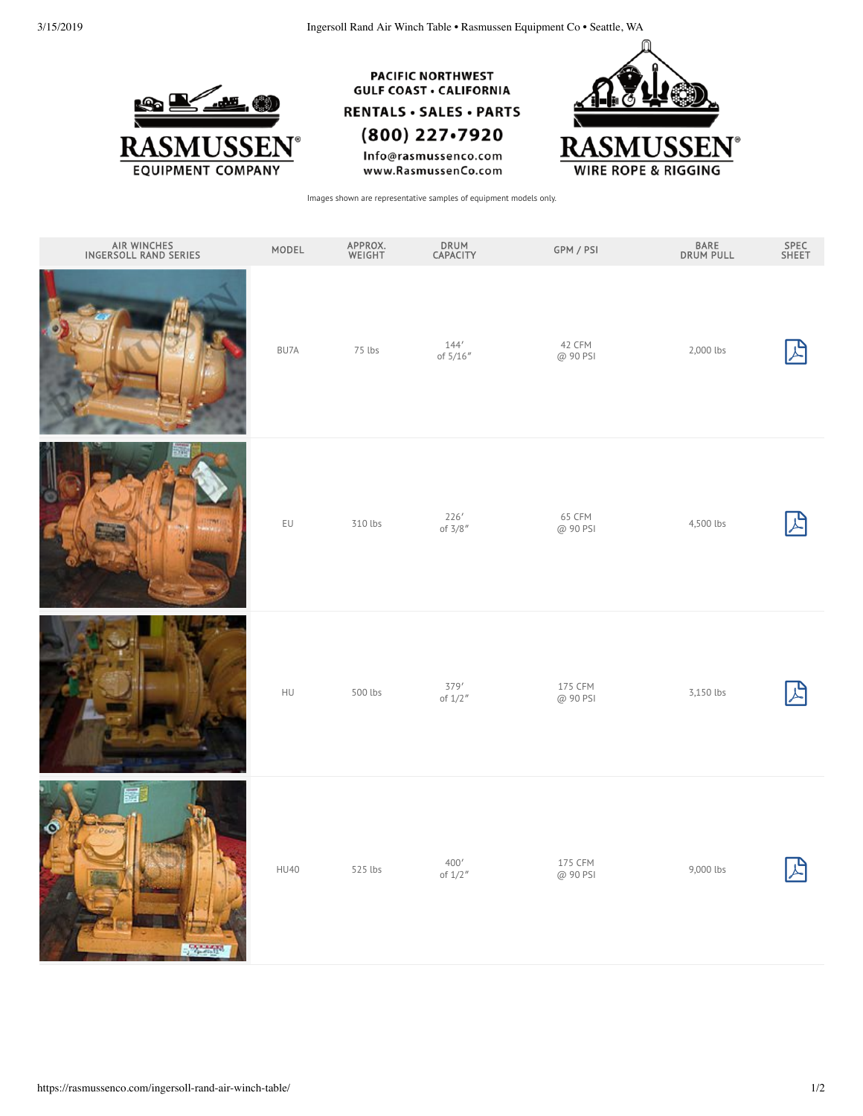3/15/2019 Ingersoll Rand Air Winch Table • Rasmussen Equipment Co • Seattle, WA



**PACIFIC NORTHWEST GULF COAST · CALIFORNIA** 

**RENTALS · SALES · PARTS** 

(800) 227-7920

Info@rasmussenco.com www.RasmussenCo.com



Images shown are representative samples of equipment models only.

| AIR WINCHES<br>INGERSOLL RAND SERIES | MODEL       | APPROX.<br>WEIGHT | DRUM<br>CAPACITY     | GPM / PSI           | BARE<br>DRUM PULL | SPEC<br>SHEET |
|--------------------------------------|-------------|-------------------|----------------------|---------------------|-------------------|---------------|
|                                      | BU7A        | 75 lbs            | 144'<br>of $5/16''$  | 42 CFM<br>@ 90 PSI  | 2,000 lbs         | 凸             |
|                                      | EU          | 310 lbs           | 226'<br>of $3/8''$   | 65 CFM<br>@ 90 PSI  | 4,500 lbs         | 凸             |
|                                      | HU          | 500 lbs           | 379'<br>of $1/2$ "   | 175 CFM<br>@ 90 PSI | 3,150 lbs         | 업             |
| $\frac{1}{2}$                        | <b>HU40</b> | 525 lbs           | $400'$<br>of $1/2$ " | 175 CFM<br>@ 90 PSI | 9,000 lbs         | 업             |